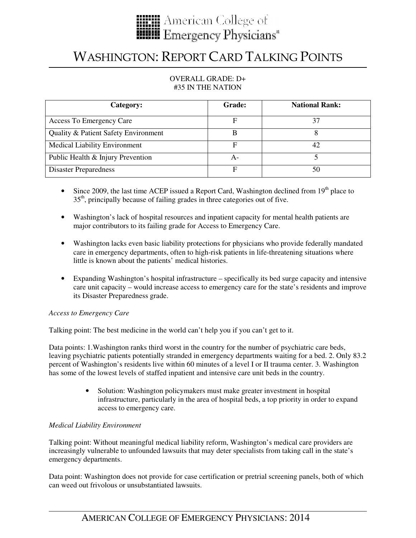

# WASHINGTON: REPORT CARD TALKING POINTS

### OVERALL GRADE: D+ #35 IN THE NATION

| Category:                            | <b>Grade:</b> | <b>National Rank:</b> |
|--------------------------------------|---------------|-----------------------|
| Access To Emergency Care             | F             | 37                    |
| Quality & Patient Safety Environment | B             |                       |
| <b>Medical Liability Environment</b> | F             | 42                    |
| Public Health & Injury Prevention    | A-            |                       |
| Disaster Preparedness                | F             | 50                    |

- Since 2009, the last time ACEP issued a Report Card, Washington declined from  $19<sup>th</sup>$  place to 35<sup>th</sup>, principally because of failing grades in three categories out of five.
- Washington's lack of hospital resources and inpatient capacity for mental health patients are major contributors to its failing grade for Access to Emergency Care.
- Washington lacks even basic liability protections for physicians who provide federally mandated care in emergency departments, often to high-risk patients in life-threatening situations where little is known about the patients' medical histories.
- Expanding Washington's hospital infrastructure specifically its bed surge capacity and intensive care unit capacity – would increase access to emergency care for the state's residents and improve its Disaster Preparedness grade.

#### *Access to Emergency Care*

Talking point: The best medicine in the world can't help you if you can't get to it.

Data points: 1.Washington ranks third worst in the country for the number of psychiatric care beds, leaving psychiatric patients potentially stranded in emergency departments waiting for a bed. 2. Only 83.2 percent of Washington's residents live within 60 minutes of a level I or II trauma center. 3. Washington has some of the lowest levels of staffed inpatient and intensive care unit beds in the country.

> • Solution: Washington policymakers must make greater investment in hospital infrastructure, particularly in the area of hospital beds, a top priority in order to expand access to emergency care.

## *Medical Liability Environment*

Talking point: Without meaningful medical liability reform, Washington's medical care providers are increasingly vulnerable to unfounded lawsuits that may deter specialists from taking call in the state's emergency departments.

Data point: Washington does not provide for case certification or pretrial screening panels, both of which can weed out frivolous or unsubstantiated lawsuits.